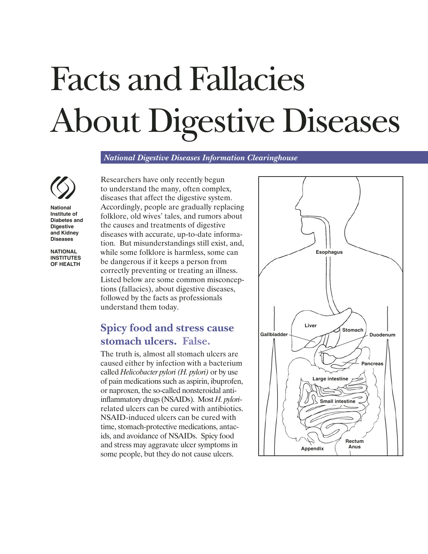# *National Digestive Diseases Information Clearinghouse* Facts and Fallacies About Digestive Diseases

*National Digestive Diseases Information Clearinghouse*



**National Institute of Diabetes and Digestive and Kidney Diseases**

**NATIONAL INSTITUTES OF HEALTH**

Researchers have only recently begun to understand the many, often complex, diseases that affect the digestive system. Accordingly, people are gradually replacing folklore, old wives' tales, and rumors about the causes and treatments of digestive diseases with accurate, up-to-date information. But misunderstandings still exist, and, while some folklore is harmless, some can be dangerous if it keeps a person from correctly preventing or treating an illness. Listed below are some common misconceptions (fallacies), about digestive diseases, followed by the facts as professionals understand them today.

## **Spicy food and stress cause stomach ulcers. False.**

The truth is, almost all stomach ulcers are caused either by infection with a bacterium called *Helicobacter pylori (H. pylori)* or by use of pain medications such as aspirin, ibuprofen, or naproxen, the so-called nonsteroidal antiinflammatory drugs (NSAIDs). Most *H. pylori*related ulcers can be cured with antibiotics. NSAID-induced ulcers can be cured with time, stomach-protective medications, antacids, and avoidance of NSAIDs. Spicy food and stress may aggravate ulcer symptoms in some people, but they do not cause ulcers.

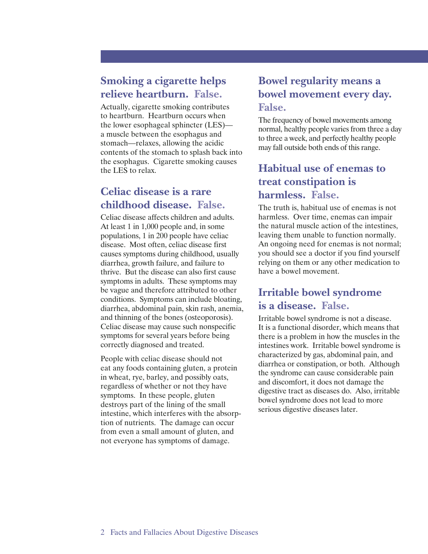#### **Smoking a cigarette helps relieve heartburn. False.**

Actually, cigarette smoking contributes to heartburn. Heartburn occurs when the lower esophageal sphincter (LES) a muscle between the esophagus and stomach—relaxes, allowing the acidic contents of the stomach to splash back into the esophagus. Cigarette smoking causes the LES to relax.

#### **Celiac disease is a rare childhood disease. False.**

Celiac disease affects children and adults. At least 1 in 1,000 people and, in some populations, 1 in 200 people have celiac disease. Most often, celiac disease first causes symptoms during childhood, usually diarrhea, growth failure, and failure to thrive. But the disease can also first cause symptoms in adults. These symptoms may be vague and therefore attributed to other conditions. Symptoms can include bloating, diarrhea, abdominal pain, skin rash, anemia, and thinning of the bones (osteoporosis). Celiac disease may cause such nonspecific symptoms for several years before being correctly diagnosed and treated.

People with celiac disease should not eat any foods containing gluten, a protein in wheat, rye, barley, and possibly oats, regardless of whether or not they have symptoms. In these people, gluten destroys part of the lining of the small intestine, which interferes with the absorption of nutrients. The damage can occur from even a small amount of gluten, and not everyone has symptoms of damage.

## **Bowel regularity means a bowel movement every day. False.**

The frequency of bowel movements among normal, healthy people varies from three a day to three a week, and perfectly healthy people may fall outside both ends of this range.

# **Habitual use of enemas to treat constipation is harmless. False.**

The truth is, habitual use of enemas is not harmless. Over time, enemas can impair the natural muscle action of the intestines, leaving them unable to function normally. An ongoing need for enemas is not normal; you should see a doctor if you find yourself relying on them or any other medication to have a bowel movement.

## **Irritable bowel syndrome is a disease. False.**

Irritable bowel syndrome is not a disease. It is a functional disorder, which means that there is a problem in how the muscles in the intestines work. Irritable bowel syndrome is characterized by gas, abdominal pain, and diarrhea or constipation, or both. Although the syndrome can cause considerable pain and discomfort, it does not damage the digestive tract as diseases do. Also, irritable bowel syndrome does not lead to more serious digestive diseases later.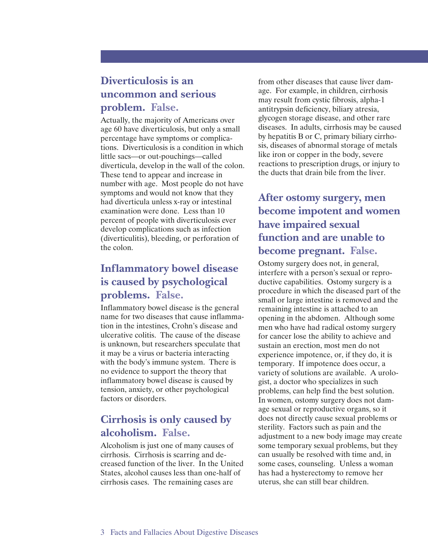# **Diverticulosis is an uncommon and serious problem. False.**

Actually, the majority of Americans over age 60 have diverticulosis, but only a small percentage have symptoms or complications. Diverticulosis is a condition in which little sacs—or out-pouchings—called diverticula, develop in the wall of the colon. These tend to appear and increase in number with age. Most people do not have symptoms and would not know that they had diverticula unless x-ray or intestinal examination were done. Less than 10 percent of people with diverticulosis ever develop complications such as infection (diverticulitis), bleeding, or perforation of the colon.

# **Inflammatory bowel disease is caused by psychological problems. False.**

Inflammatory bowel disease is the general name for two diseases that cause inflammation in the intestines, Crohn's disease and ulcerative colitis. The cause of the disease is unknown, but researchers speculate that it may be a virus or bacteria interacting with the body's immune system. There is no evidence to support the theory that inflammatory bowel disease is caused by tension, anxiety, or other psychological factors or disorders.

# **Cirrhosis is only caused by alcoholism. False.**

Alcoholism is just one of many causes of cirrhosis. Cirrhosis is scarring and decreased function of the liver. In the United States, alcohol causes less than one-half of cirrhosis cases. The remaining cases are

from other diseases that cause liver damage. For example, in children, cirrhosis may result from cystic fibrosis, alpha-1 antitrypsin deficiency, biliary atresia, glycogen storage disease, and other rare diseases. In adults, cirrhosis may be caused by hepatitis B or C, primary biliary cirrhosis, diseases of abnormal storage of metals like iron or copper in the body, severe reactions to prescription drugs, or injury to the ducts that drain bile from the liver.

# **After ostomy surgery, men become impotent and women have impaired sexual function and are unable to become pregnant. False.**

Ostomy surgery does not, in general, interfere with a person's sexual or reproductive capabilities. Ostomy surgery is a procedure in which the diseased part of the small or large intestine is removed and the remaining intestine is attached to an opening in the abdomen. Although some men who have had radical ostomy surgery for cancer lose the ability to achieve and sustain an erection, most men do not experience impotence, or, if they do, it is temporary. If impotence does occur, a variety of solutions are available. A urologist, a doctor who specializes in such problems, can help find the best solution. In women, ostomy surgery does not damage sexual or reproductive organs, so it does not directly cause sexual problems or sterility. Factors such as pain and the adjustment to a new body image may create some temporary sexual problems, but they can usually be resolved with time and, in some cases, counseling. Unless a woman has had a hysterectomy to remove her uterus, she can still bear children.